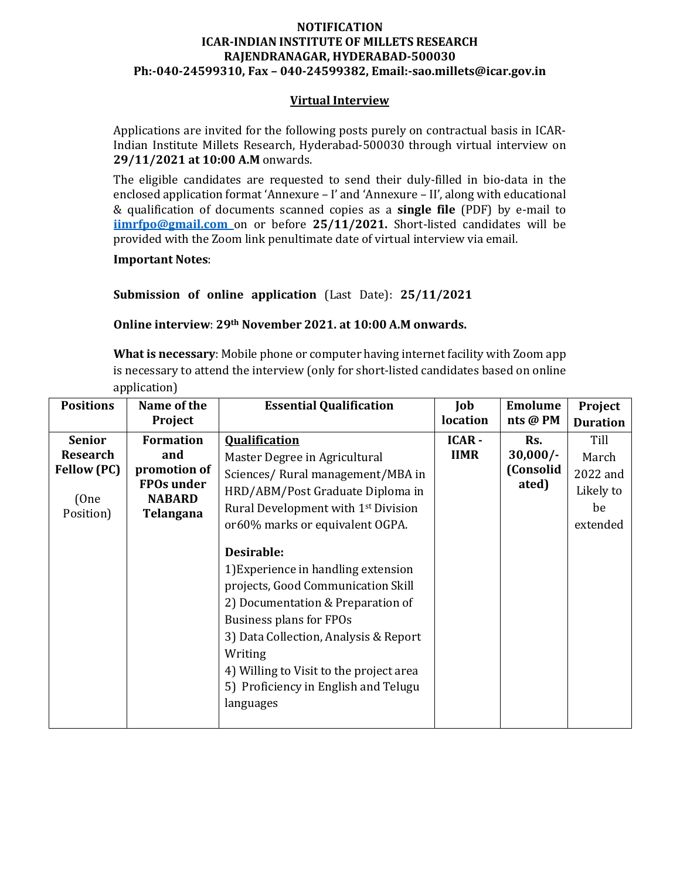## **NOTIFICATION ICARINDIAN INSTITUTE OF MILLETS RESEARCH RAJENDRANAGAR, HYDERABAD500030 Ph:04024599310, Fax – 04024599382, Email:sao.millets@icar.gov.in**

### **Virtual Interview**

Applications are invited for the following posts purely on contractual basis in ICAR‐ Indian Institute Millets Research, Hyderabad‐500030 through virtual interview on **29/11/2021 at 10:00 A.M** onwards.

The eligible candidates are requested to send their duly-filled in bio-data in the enclosed application format 'Annexure – I' and 'Annexure – II', along with educational & qualification of documents scanned copies as a **single file** (PDF) by e‐mail to **iimrfpo@gmail.com** on or before **25/11/2021.** Short‐listed candidates will be provided with the Zoom link penultimate date of virtual interview via email.

**Important Notes**:

**Submission of online application** (Last Date): **25/11/2021**

**Online interview**: **29th November 2021. at 10:00 A.M onwards.**

**What is necessary**: Mobile phone or computer having internet facility with Zoom app is necessary to attend the interview (only for short‐listed candidates based on online application)

| <b>Positions</b>                                                            | Name of the<br>Project                                                                     | <b>Essential Qualification</b>                                                                                                                                                                                                                                                                                                                                                                                                                                                                                                     | Job<br>location      | <b>Emolume</b><br>nts @ PM              | Project<br><b>Duration</b>                               |
|-----------------------------------------------------------------------------|--------------------------------------------------------------------------------------------|------------------------------------------------------------------------------------------------------------------------------------------------------------------------------------------------------------------------------------------------------------------------------------------------------------------------------------------------------------------------------------------------------------------------------------------------------------------------------------------------------------------------------------|----------------------|-----------------------------------------|----------------------------------------------------------|
| <b>Senior</b><br><b>Research</b><br><b>Fellow (PC)</b><br>(One<br>Position) | <b>Formation</b><br>and<br>promotion of<br><b>FPOs under</b><br><b>NABARD</b><br>Telangana | <b>Qualification</b><br>Master Degree in Agricultural<br>Sciences/Rural management/MBA in<br>HRD/ABM/Post Graduate Diploma in<br>Rural Development with 1 <sup>st</sup> Division<br>or60% marks or equivalent OGPA.<br>Desirable:<br>1) Experience in handling extension<br>projects, Good Communication Skill<br>2) Documentation & Preparation of<br>Business plans for FPOs<br>3) Data Collection, Analysis & Report<br>Writing<br>4) Willing to Visit to the project area<br>5) Proficiency in English and Telugu<br>languages | ICAR-<br><b>IIMR</b> | Rs.<br>$30,000/-$<br>(Consolid<br>ated) | Till<br>March<br>2022 and<br>Likely to<br>be<br>extended |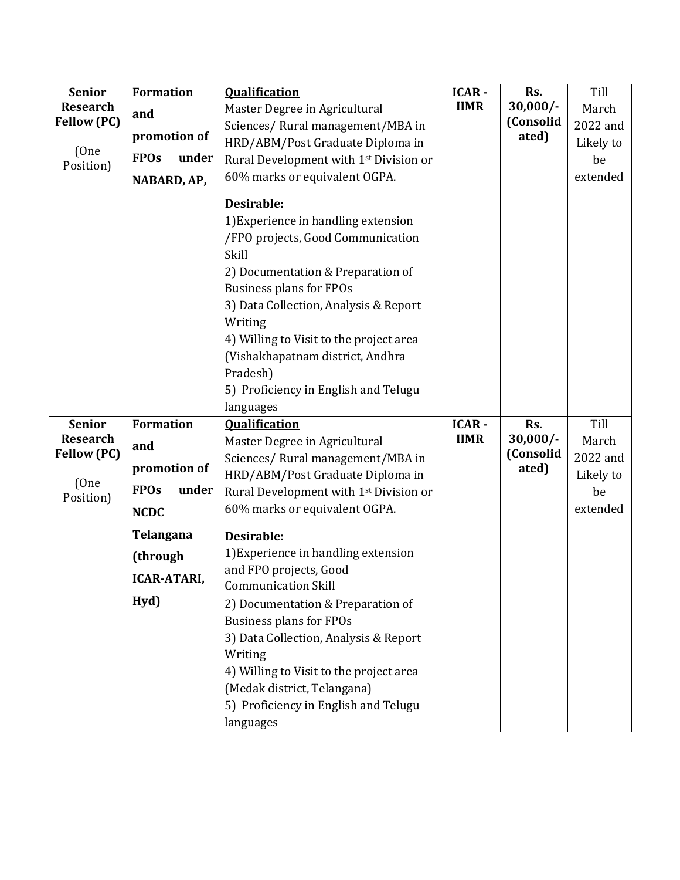| <b>Senior</b>              | <b>Formation</b>     | <b>Qualification</b>                                                                                                                                                                                                                                                    | <b>ICAR-</b> | Rs.                | Till      |
|----------------------------|----------------------|-------------------------------------------------------------------------------------------------------------------------------------------------------------------------------------------------------------------------------------------------------------------------|--------------|--------------------|-----------|
| <b>Research</b>            | and                  | Master Degree in Agricultural                                                                                                                                                                                                                                           | <b>IIMR</b>  | $30,000/-$         | March     |
| <b>Fellow (PC)</b>         | promotion of         | Sciences/Rural management/MBA in                                                                                                                                                                                                                                        |              | (Consolid          | 2022 and  |
| (One                       |                      | HRD/ABM/Post Graduate Diploma in                                                                                                                                                                                                                                        |              | ated)              | Likely to |
| Position)                  | <b>FPOs</b><br>under | Rural Development with 1st Division or                                                                                                                                                                                                                                  |              |                    | be        |
|                            | NABARD, AP,          | 60% marks or equivalent OGPA.                                                                                                                                                                                                                                           |              |                    | extended  |
|                            |                      | Desirable:<br>1) Experience in handling extension<br>/FPO projects, Good Communication<br>Skill                                                                                                                                                                         |              |                    |           |
|                            |                      | 2) Documentation & Preparation of<br><b>Business plans for FPOs</b><br>3) Data Collection, Analysis & Report<br>Writing<br>4) Willing to Visit to the project area<br>(Vishakhapatnam district, Andhra<br>Pradesh)<br>5) Proficiency in English and Telugu<br>languages |              |                    |           |
| <b>Senior</b>              | <b>Formation</b>     | <b>Oualification</b>                                                                                                                                                                                                                                                    | <b>ICAR-</b> | Rs.                | Till      |
| <b>Research</b>            | and<br>promotion of  | Master Degree in Agricultural                                                                                                                                                                                                                                           | <b>IIMR</b>  | $30,000/-$         | March     |
| <b>Fellow (PC)</b>         |                      | Sciences/Rural management/MBA in                                                                                                                                                                                                                                        |              | (Consolid<br>ated) | 2022 and  |
|                            |                      | HRD/ABM/Post Graduate Diploma in                                                                                                                                                                                                                                        |              |                    | Likely to |
| (One<br>Position)          | <b>FPOs</b><br>under | Rural Development with 1 <sup>st</sup> Division or                                                                                                                                                                                                                      |              |                    | be        |
|                            | <b>NCDC</b>          | 60% marks or equivalent OGPA.                                                                                                                                                                                                                                           |              |                    | extended  |
| Telangana                  |                      | Desirable:                                                                                                                                                                                                                                                              |              |                    |           |
|                            | (through             | 1) Experience in handling extension                                                                                                                                                                                                                                     |              |                    |           |
| <b>ICAR-ATARI,</b><br>Hyd) |                      | and FPO projects, Good                                                                                                                                                                                                                                                  |              |                    |           |
|                            |                      | <b>Communication Skill</b>                                                                                                                                                                                                                                              |              |                    |           |
|                            |                      | 2) Documentation & Preparation of                                                                                                                                                                                                                                       |              |                    |           |
|                            |                      | <b>Business plans for FPOs</b>                                                                                                                                                                                                                                          |              |                    |           |
|                            |                      | 3) Data Collection, Analysis & Report                                                                                                                                                                                                                                   |              |                    |           |
|                            |                      | Writing                                                                                                                                                                                                                                                                 |              |                    |           |
|                            |                      | 4) Willing to Visit to the project area                                                                                                                                                                                                                                 |              |                    |           |
|                            |                      | (Medak district, Telangana)                                                                                                                                                                                                                                             |              |                    |           |
|                            |                      | 5) Proficiency in English and Telugu                                                                                                                                                                                                                                    |              |                    |           |
|                            |                      | languages                                                                                                                                                                                                                                                               |              |                    |           |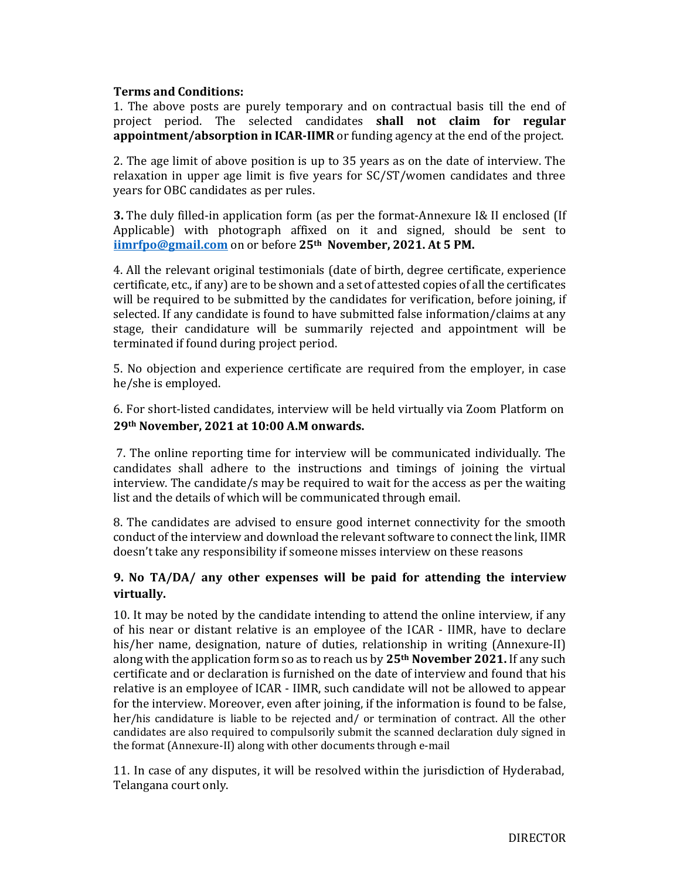## **Terms and Conditions:**

1. The above posts are purely temporary and on contractual basis till the end of project period. The selected candidates **shall not claim for regular appointment/absorption in ICARIIMR** or funding agency at the end of the project.

2. The age limit of above position is up to 35 years as on the date of interview. The relaxation in upper age limit is five years for SC/ST/women candidates and three years for OBC candidates as per rules.

**3.** The duly filled-in application form (as per the format-Annexure I& II enclosed (If Applicable) with photograph affixed on it and signed, should be sent to **iimrfpo@gmail.com** on or before **25th November, 2021. At 5 PM.**

4. All the relevant original testimonials (date of birth, degree certificate, experience certificate, etc., if any) are to be shown and a set of attested copies of all the certificates will be required to be submitted by the candidates for verification, before joining, if selected. If any candidate is found to have submitted false information/claims at any stage, their candidature will be summarily rejected and appointment will be terminated if found during project period.

5. No objection and experience certificate are required from the employer, in case he/she is employed.

6. For short‐listed candidates, interview will be held virtually via Zoom Platform on **29th November, 2021 at 10:00 A.M onwards.**

7. The online reporting time for interview will be communicated individually. The candidates shall adhere to the instructions and timings of joining the virtual interview. The candidate/s may be required to wait for the access as per the waiting list and the details of which will be communicated through email.

8. The candidates are advised to ensure good internet connectivity for the smooth conduct of the interview and download the relevant software to connect the link, IIMR doesn't take any responsibility if someone misses interview on these reasons

## **9. No TA/DA/ any other expenses will be paid for attending the interview virtually.**

10. It may be noted by the candidate intending to attend the online interview, if any of his near or distant relative is an employee of the ICAR ‐ IIMR, have to declare his/her name, designation, nature of duties, relationship in writing (Annexure-II) along with the application form so as to reach us by **25th November 2021.** If any such certificate and or declaration is furnished on the date of interview and found that his relative is an employee of ICAR ‐ IIMR, such candidate will not be allowed to appear for the interview. Moreover, even after joining, if the information is found to be false, her/his candidature is liable to be rejected and/ or termination of contract. All the other candidates are also required to compulsorily submit the scanned declaration duly signed in the format (Annexure‐II) along with other documents through e‐mail

11. In case of any disputes, it will be resolved within the jurisdiction of Hyderabad, Telangana court only.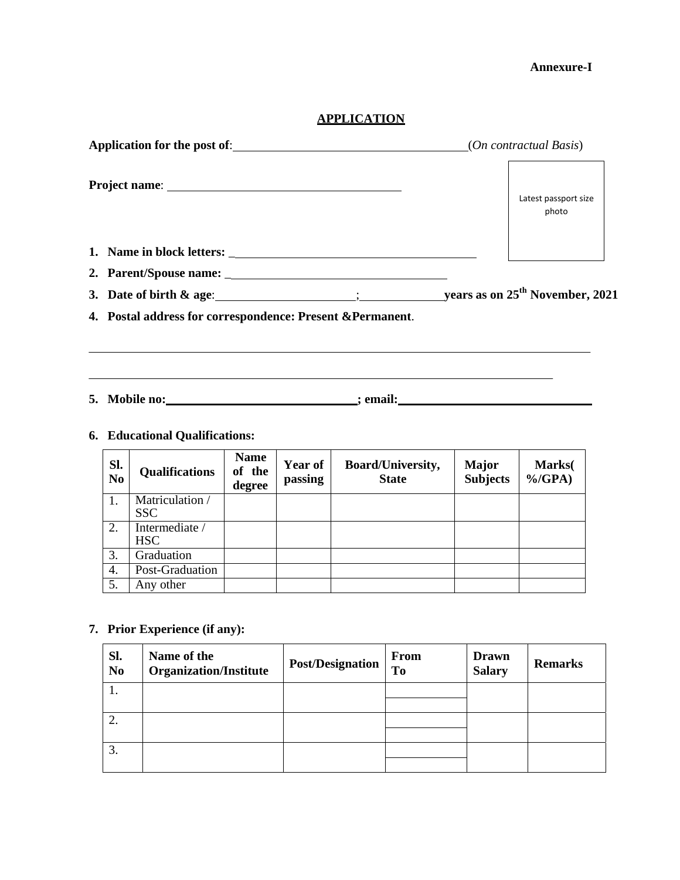## **Annexure-I**

# **APPLICATION**

|                                                                                  |  | Latest passport size<br>photo                                    |  |
|----------------------------------------------------------------------------------|--|------------------------------------------------------------------|--|
|                                                                                  |  |                                                                  |  |
|                                                                                  |  |                                                                  |  |
|                                                                                  |  | 3. Date of birth & age: $\frac{1}{2}$ is the set of birth & age: |  |
| 4. Postal address for correspondence: Present & Permanent.                       |  |                                                                  |  |
|                                                                                  |  |                                                                  |  |
| 5. Mobile no:______________________________; email:_____________________________ |  |                                                                  |  |

## **6. Educational Qualifications:**

| Sl.<br>N <sub>0</sub> | <b>Qualifications</b>                             | <b>Name</b><br>of the<br>degree | <b>Year of</b><br>passing | <b>Board/University,</b><br><b>State</b> | Major<br><b>Subjects</b> | Marks(<br>$\%$ /GPA) |
|-----------------------|---------------------------------------------------|---------------------------------|---------------------------|------------------------------------------|--------------------------|----------------------|
|                       | $\overline{\text{Matriculation}}$ /<br><b>SSC</b> |                                 |                           |                                          |                          |                      |
| 2.                    | Intermediate /<br><b>HSC</b>                      |                                 |                           |                                          |                          |                      |
| 3.                    | Graduation                                        |                                 |                           |                                          |                          |                      |
| 4.                    | Post-Graduation                                   |                                 |                           |                                          |                          |                      |
| 5.                    | Any other                                         |                                 |                           |                                          |                          |                      |

# **7. Prior Experience (if any):**

| Sl.<br>N <sub>0</sub> | Name of the<br><b>Organization/Institute</b> | <b>Post/Designation</b> | From<br><b>To</b> | <b>Drawn</b><br><b>Salary</b> | <b>Remarks</b> |
|-----------------------|----------------------------------------------|-------------------------|-------------------|-------------------------------|----------------|
| .,                    |                                              |                         |                   |                               |                |
|                       |                                              |                         |                   |                               |                |
| ۷.                    |                                              |                         |                   |                               |                |
|                       |                                              |                         |                   |                               |                |
| 3.                    |                                              |                         |                   |                               |                |
|                       |                                              |                         |                   |                               |                |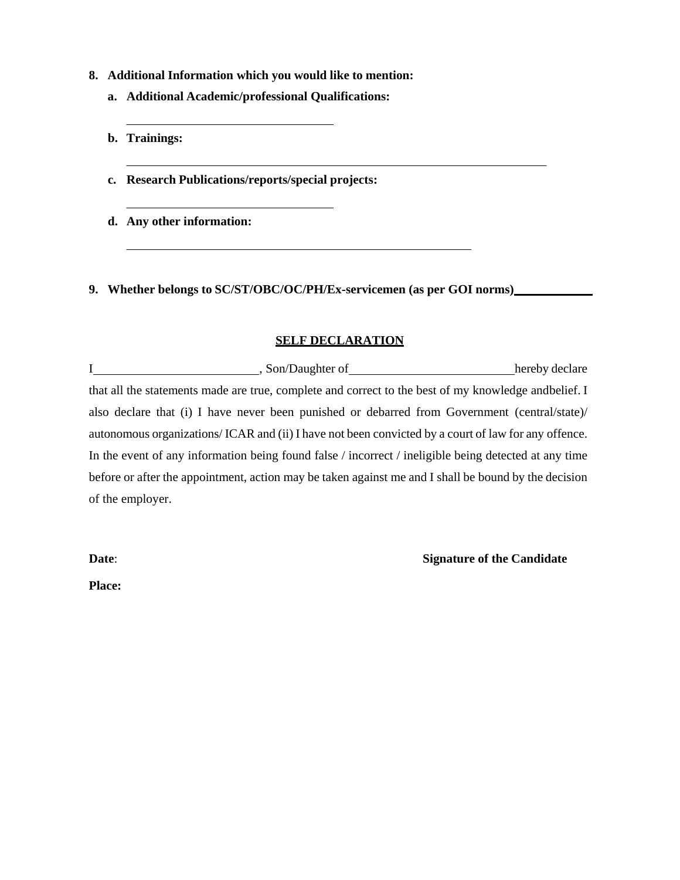#### **8. Additional Information which you would like to mention:**

- **a. Additional Academic/professional Qualifications:**
- **b. Trainings:**
- **c. Research Publications/reports/special projects:**
- **d. Any other information:**

**9. Whether belongs to SC/ST/OBC/OC/PH/Ex-servicemen (as per GOI norms)** 

### **SELF DECLARATION**

I hereby declare hereby declare that all the statements made are true, complete and correct to the best of my knowledge and belief. I also declare that (i) I have never been punished or debarred from Government (central/state)/ autonomous organizations/ ICAR and (ii) I have not been convicted by a court of law for any offence. In the event of any information being found false / incorrect / ineligible being detected at any time before or after the appointment, action may be taken against me and I shall be bound by the decision of the employer.

**Date: Signature of the Candidate** 

**Place:**